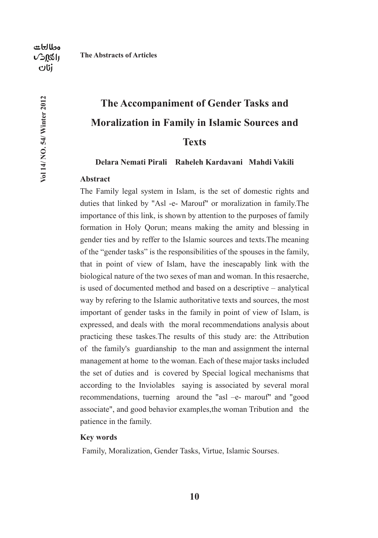Vol 14/ NO. 54/ Winter 2012

# **The Accompaniment of Gender Tasks and**

#### **Moralization in Family in Islamic Sources and**

#### **Texts**

**Delara Nemati Pirali Raheleh Kardavani Mahdi Vakili** 

#### **Abstract**

**The Abstracts of Articles**

The Family legal system in Islam, is the set of domestic rights and duties that linked by "Asl -e- Marouf" or moralization in family.The importance of this link, is shown by attention to the purposes of family formation in Holy Qorun; means making the amity and blessing in gender ties and by reffer to the Islamic sources and texts.The meaning of the "gender tasks" is the responsibilities of the spouses in the family, that in point of view of Islam, have the inescapably link with the biological nature of the two sexes of man and woman. In this resaerche, is used of documented method and based on a descriptive – analytical way by refering to the Islamic authoritative texts and sources, the most important of gender tasks in the family in point of view of Islam, is expressed, and deals with the moral recommendations analysis about practicing these taskes.The results of this study are: the Attribution of the family's guardianship to the man and assignment the internal management at home to the woman. Each of these major tasks included the set of duties and is covered by Special logical mechanisms that according to the Inviolables saying is associated by several moral recommendations, tuerning around the "asl –e- marouf" and "good associate", and good behavior examples,the woman Tribution and the patience in the family.

#### **Key words**

Family, Moralization, Gender Tasks, Virtue, Islamic Sourses.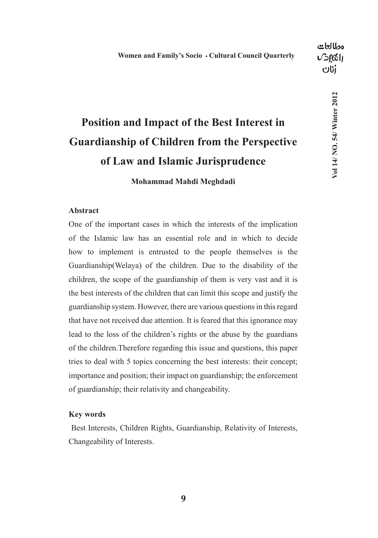7o114/ NO. 54/ Winter 2012

## **Position and Impact of the Best Interest in Guardianship of Children from the Perspective of Law and Islamic Jurisprudence**

**Mohammad Mahdi Meghdadi**

#### **Abstract**

One of the important cases in which the interests of the implication of the Islamic law has an essential role and in which to decide how to implement is entrusted to the people themselves is the Guardianship(Welaya) of the children. Due to the disability of the children, the scope of the guardianship of them is very vast and it is the best interests of the children that can limit this scope and justify the guardianship system. However, there are various questions in this regard that have not received due attention. It is feared that this ignorance may lead to the loss of the children's rights or the abuse by the guardians of the children.Therefore regarding this issue and questions, this paper tries to deal with 5 topics concerning the best interests: their concept; importance and position; their impact on guardianship; the enforcement of guardianship; their relativity and changeability.

#### **Key words**

 Best Interests, Children Rights, Guardianship, Relativity of Interests, Changeability of Interests.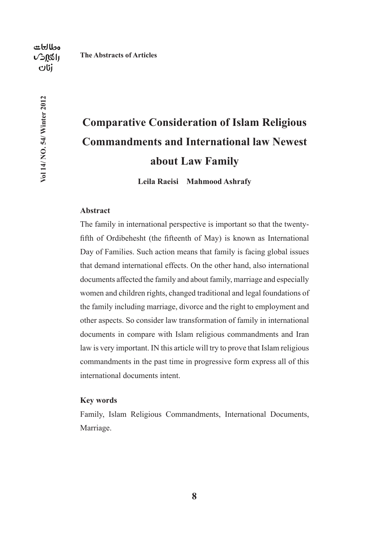Vol 14/ NO. 54/ Winter 2012

## **Comparative Consideration of Islam Religious Commandments and International law Newest**

**about Law Family**

**Leila Raeisi Mahmood Ashrafy**

#### **Abstract**

The family in international perspective is important so that the twentyfifth of Ordibehesht (the fifteenth of May) is known as International Day of Families. Such action means that family is facing global issues that demand international effects. On the other hand, also international documents affected the family and about family, marriage and especially women and children rights, changed traditional and legal foundations of the family including marriage, divorce and the right to employment and other aspects. So consider law transformation of family in international documents in compare with Islam religious commandments and Iran law is very important. IN this article will try to prove that Islam religious commandments in the past time in progressive form express all of this international documents intent.

#### **Key words**

Family, Islam Religious Commandments, International Documents, Marriage.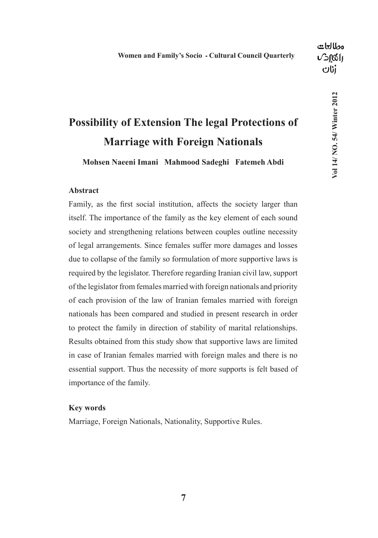### **Possibility of Extension The legal Protections of Marriage with Foreign Nationals**

**Mohsen Naeeni Imani Mahmood Sadeghi Fatemeh Abdi**

#### **Abstract**

Family, as the first social institution, affects the society larger than itself. The importance of the family as the key element of each sound society and strengthening relations between couples outline necessity of legal arrangements. Since females suffer more damages and losses due to collapse of the family so formulation of more supportive laws is required by the legislator. Therefore regarding Iranian civil law, support of the legislator from females married with foreign nationals and priority of each provision of the law of Iranian females married with foreign nationals has been compared and studied in present research in order to protect the family in direction of stability of marital relationships. Results obtained from this study show that supportive laws are limited in case of Iranian females married with foreign males and there is no essential support. Thus the necessity of more supports is felt based of importance of the family.

#### **Key words**

Marriage, Foreign Nationals, Nationality, Supportive Rules.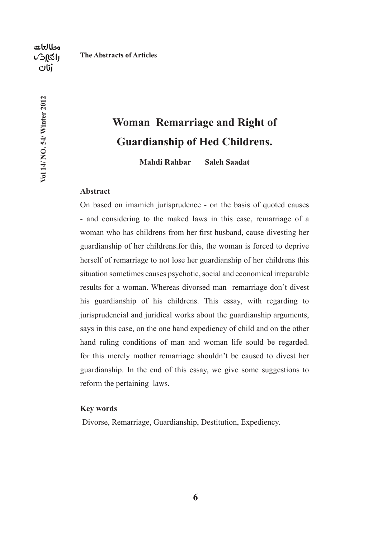Vol 14/ NO. 54/ Winter 2012

## **Woman Remarriage and Right of Guardianship of Hed Childrens.**

**Mahdi Rahbar Saleh Saadat**

#### **Abstract**

On based on imamieh jurisprudence - on the basis of quoted causes - and considering to the maked laws in this case, remarriage of a woman who has childrens from her first husband, cause divesting her guardianship of her childrens.for this, the woman is forced to deprive herself of remarriage to not lose her guardianship of her childrens this situation sometimes causes psychotic, social and economical irreparable results for a woman. Whereas divorsed man remarriage don't divest his guardianship of his childrens. This essay, with regarding to jurisprudencial and juridical works about the guardianship arguments, says in this case, on the one hand expediency of child and on the other hand ruling conditions of man and woman life sould be regarded. for this merely mother remarriage shouldn't be caused to divest her guardianship. In the end of this essay, we give some suggestions to reform the pertaining laws.

#### **Key words**

Divorse, Remarriage, Guardianship, Destitution, Expediency.